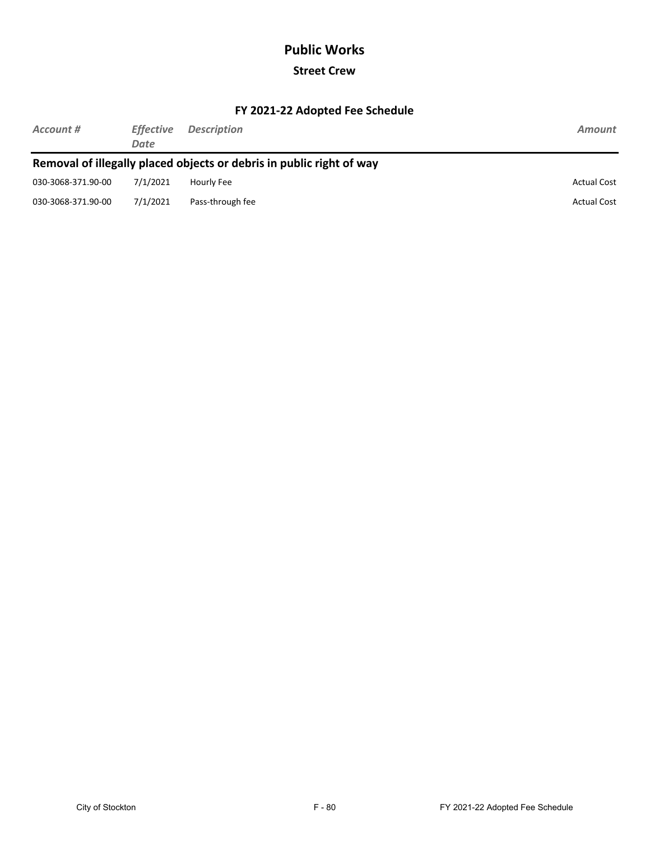#### **Street Crew**

#### **FY 2021-22 Adopted Fee Schedule**

| Account #                                                            | <b>Effective</b><br>Date | <b>Description</b> | Amount             |  |
|----------------------------------------------------------------------|--------------------------|--------------------|--------------------|--|
| Removal of illegally placed objects or debris in public right of way |                          |                    |                    |  |
| 030-3068-371.90-00                                                   | 7/1/2021                 | Hourly Fee         | <b>Actual Cost</b> |  |
| 030-3068-371.90-00                                                   | 7/1/2021                 | Pass-through fee   | <b>Actual Cost</b> |  |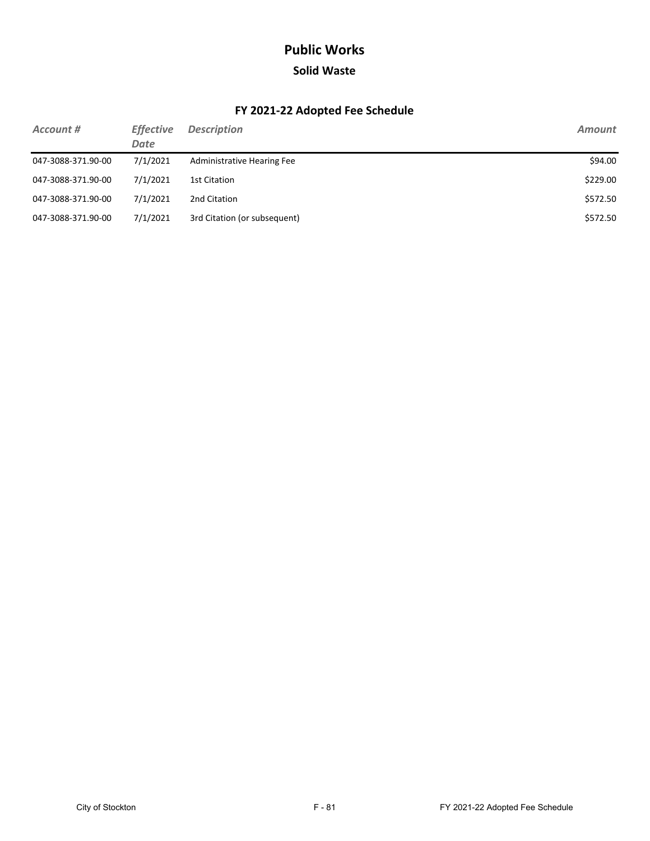#### **Solid Waste**

#### **FY 2021-22 Adopted Fee Schedule**

| Account #          | <b>Effective</b><br>Date | <b>Description</b>                | Amount   |
|--------------------|--------------------------|-----------------------------------|----------|
| 047-3088-371.90-00 | 7/1/2021                 | <b>Administrative Hearing Fee</b> | \$94.00  |
| 047-3088-371.90-00 | 7/1/2021                 | 1st Citation                      | \$229.00 |
| 047-3088-371.90-00 | 7/1/2021                 | 2nd Citation                      | \$572.50 |
| 047-3088-371.90-00 | 7/1/2021                 | 3rd Citation (or subsequent)      | \$572.50 |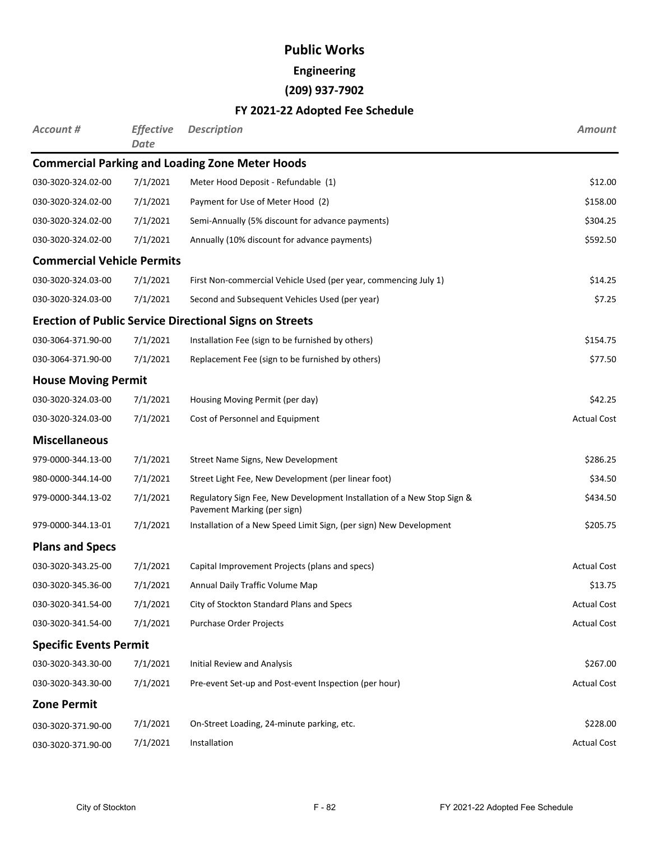# **Engineering**

### **(209) 937-7902**

#### **FY 2021-22 Adopted Fee Schedule**

| <b>Account #</b>                  | <b>Effective</b><br>Date | <b>Description</b>                                                                                    | <b>Amount</b>      |
|-----------------------------------|--------------------------|-------------------------------------------------------------------------------------------------------|--------------------|
|                                   |                          | <b>Commercial Parking and Loading Zone Meter Hoods</b>                                                |                    |
| 030-3020-324.02-00                | 7/1/2021                 | Meter Hood Deposit - Refundable (1)                                                                   | \$12.00            |
| 030-3020-324.02-00                | 7/1/2021                 | Payment for Use of Meter Hood (2)                                                                     | \$158.00           |
| 030-3020-324.02-00                | 7/1/2021                 | Semi-Annually (5% discount for advance payments)                                                      | \$304.25           |
| 030-3020-324.02-00                | 7/1/2021                 | Annually (10% discount for advance payments)                                                          | \$592.50           |
| <b>Commercial Vehicle Permits</b> |                          |                                                                                                       |                    |
| 030-3020-324.03-00                | 7/1/2021                 | First Non-commercial Vehicle Used (per year, commencing July 1)                                       | \$14.25            |
| 030-3020-324.03-00                | 7/1/2021                 | Second and Subsequent Vehicles Used (per year)                                                        | \$7.25             |
|                                   |                          | <b>Erection of Public Service Directional Signs on Streets</b>                                        |                    |
| 030-3064-371.90-00                | 7/1/2021                 | Installation Fee (sign to be furnished by others)                                                     | \$154.75           |
| 030-3064-371.90-00                | 7/1/2021                 | Replacement Fee (sign to be furnished by others)                                                      | \$77.50            |
| <b>House Moving Permit</b>        |                          |                                                                                                       |                    |
| 030-3020-324.03-00                | 7/1/2021                 | Housing Moving Permit (per day)                                                                       | \$42.25            |
| 030-3020-324.03-00                | 7/1/2021                 | Cost of Personnel and Equipment                                                                       | <b>Actual Cost</b> |
| <b>Miscellaneous</b>              |                          |                                                                                                       |                    |
| 979-0000-344.13-00                | 7/1/2021                 | Street Name Signs, New Development                                                                    | \$286.25           |
| 980-0000-344.14-00                | 7/1/2021                 | Street Light Fee, New Development (per linear foot)                                                   | \$34.50            |
| 979-0000-344.13-02                | 7/1/2021                 | Regulatory Sign Fee, New Development Installation of a New Stop Sign &<br>Pavement Marking (per sign) | \$434.50           |
| 979-0000-344.13-01                | 7/1/2021                 | Installation of a New Speed Limit Sign, (per sign) New Development                                    | \$205.75           |
| <b>Plans and Specs</b>            |                          |                                                                                                       |                    |
| 030-3020-343.25-00                | 7/1/2021                 | Capital Improvement Projects (plans and specs)                                                        | <b>Actual Cost</b> |
| 030-3020-345.36-00                | 7/1/2021                 | Annual Daily Traffic Volume Map                                                                       | \$13.75            |
| 030-3020-341.54-00                | 7/1/2021                 | City of Stockton Standard Plans and Specs                                                             | <b>Actual Cost</b> |
| 030-3020-341.54-00                | 7/1/2021                 | Purchase Order Projects                                                                               | <b>Actual Cost</b> |
| <b>Specific Events Permit</b>     |                          |                                                                                                       |                    |
| 030-3020-343.30-00                | 7/1/2021                 | Initial Review and Analysis                                                                           | \$267.00           |
| 030-3020-343.30-00                | 7/1/2021                 | Pre-event Set-up and Post-event Inspection (per hour)                                                 | <b>Actual Cost</b> |
| <b>Zone Permit</b>                |                          |                                                                                                       |                    |
| 030-3020-371.90-00                | 7/1/2021                 | On-Street Loading, 24-minute parking, etc.                                                            | \$228.00           |
| 030-3020-371.90-00                | 7/1/2021                 | Installation                                                                                          | <b>Actual Cost</b> |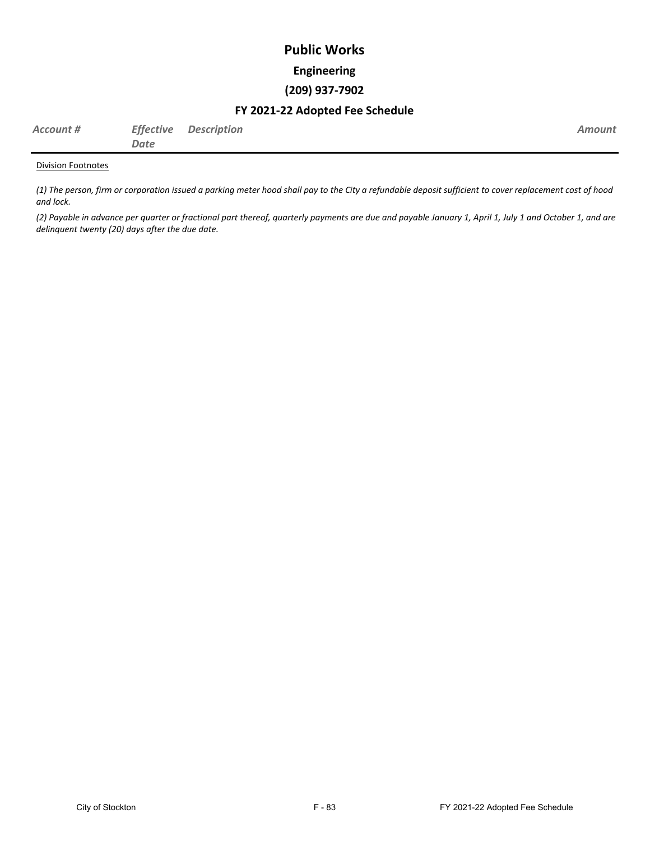# **Public Works Engineering (209) 937-7902**

#### **FY 2021-22 Adopted Fee Schedule**

| Account # |      | <b>Effective Description</b> | Amount |
|-----------|------|------------------------------|--------|
|           | Date |                              |        |

#### Division Footnotes

*(1) The person, firm or corporation issued a parking meter hood shall pay to the City a refundable deposit sufficient to cover replacement cost of hood and lock.*

*(2) Payable in advance per quarter or fractional part thereof, quarterly payments are due and payable January 1, April 1, July 1 and October 1, and are delinquent twenty (20) days after the due date.*